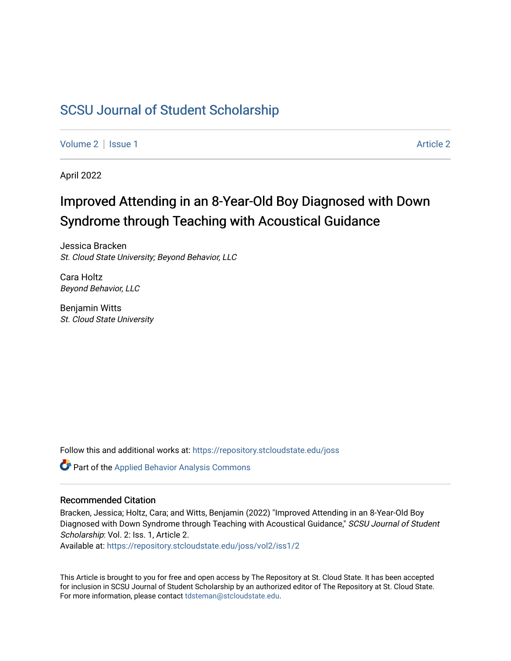### [SCSU Journal of Student Scholarship](https://repository.stcloudstate.edu/joss)

[Volume 2](https://repository.stcloudstate.edu/joss/vol2) | [Issue 1](https://repository.stcloudstate.edu/joss/vol2/iss1) [Article 2](https://repository.stcloudstate.edu/joss/vol2/iss1/2) | Article 2 Article 2 | Article 2 | Article 2 | Article 2 | Article 2 | Article 2

April 2022

## Improved Attending in an 8-Year-Old Boy Diagnosed with Down Syndrome through Teaching with Acoustical Guidance

Jessica Bracken St. Cloud State University; Beyond Behavior, LLC

Cara Holtz Beyond Behavior, LLC

Benjamin Witts St. Cloud State University

Follow this and additional works at: [https://repository.stcloudstate.edu/joss](https://repository.stcloudstate.edu/joss?utm_source=repository.stcloudstate.edu%2Fjoss%2Fvol2%2Fiss1%2F2&utm_medium=PDF&utm_campaign=PDFCoverPages) 

Part of the [Applied Behavior Analysis Commons](http://network.bepress.com/hgg/discipline/1235?utm_source=repository.stcloudstate.edu%2Fjoss%2Fvol2%2Fiss1%2F2&utm_medium=PDF&utm_campaign=PDFCoverPages)

#### Recommended Citation

Bracken, Jessica; Holtz, Cara; and Witts, Benjamin (2022) "Improved Attending in an 8-Year-Old Boy Diagnosed with Down Syndrome through Teaching with Acoustical Guidance," SCSU Journal of Student Scholarship: Vol. 2: Iss. 1, Article 2.

Available at: [https://repository.stcloudstate.edu/joss/vol2/iss1/2](https://repository.stcloudstate.edu/joss/vol2/iss1/2?utm_source=repository.stcloudstate.edu%2Fjoss%2Fvol2%2Fiss1%2F2&utm_medium=PDF&utm_campaign=PDFCoverPages)

This Article is brought to you for free and open access by The Repository at St. Cloud State. It has been accepted for inclusion in SCSU Journal of Student Scholarship by an authorized editor of The Repository at St. Cloud State. For more information, please contact [tdsteman@stcloudstate.edu.](mailto:tdsteman@stcloudstate.edu)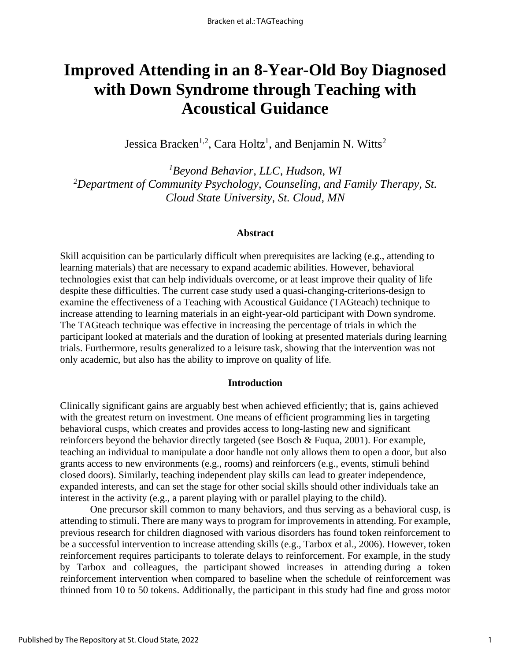# **Improved Attending in an 8-Year-Old Boy Diagnosed with Down Syndrome through Teaching with Acoustical Guidance**

Jessica Bracken<sup>1,2</sup>, Cara Holtz<sup>1</sup>, and Benjamin N. Witts<sup>2</sup>

*<sup>1</sup>Beyond Behavior, LLC, Hudson, WI <sup>2</sup>Department of Community Psychology, Counseling, and Family Therapy, St. Cloud State University, St. Cloud, MN*

#### **Abstract**

Skill acquisition can be particularly difficult when prerequisites are lacking (e.g., attending to learning materials) that are necessary to expand academic abilities. However, behavioral technologies exist that can help individuals overcome, or at least improve their quality of life despite these difficulties. The current case study used a quasi-changing-criterions-design to examine the effectiveness of a Teaching with Acoustical Guidance (TAGteach) technique to increase attending to learning materials in an eight-year-old participant with Down syndrome. The TAGteach technique was effective in increasing the percentage of trials in which the participant looked at materials and the duration of looking at presented materials during learning trials. Furthermore, results generalized to a leisure task, showing that the intervention was not only academic, but also has the ability to improve on quality of life.

#### **Introduction**

Clinically significant gains are arguably best when achieved efficiently; that is, gains achieved with the greatest return on investment. One means of efficient programming lies in targeting behavioral cusps, which creates and provides access to long-lasting new and significant reinforcers beyond the behavior directly targeted (see Bosch & Fuqua, 2001). For example, teaching an individual to manipulate a door handle not only allows them to open a door, but also grants access to new environments (e.g., rooms) and reinforcers (e.g., events, stimuli behind closed doors). Similarly, teaching independent play skills can lead to greater independence, expanded interests, and can set the stage for other social skills should other individuals take an interest in the activity (e.g., a parent playing with or parallel playing to the child).

One precursor skill common to many behaviors, and thus serving as a behavioral cusp, is attending to stimuli. There are many ways to program for improvements in attending. For example, previous research for children diagnosed with various disorders has found token reinforcement to be a successful intervention to increase attending skills (e.g., Tarbox et al., 2006). However, token reinforcement requires participants to tolerate delays to reinforcement. For example, in the study by Tarbox and colleagues, the participant showed increases in attending during a token reinforcement intervention when compared to baseline when the schedule of reinforcement was thinned from 10 to 50 tokens. Additionally, the participant in this study had fine and gross motor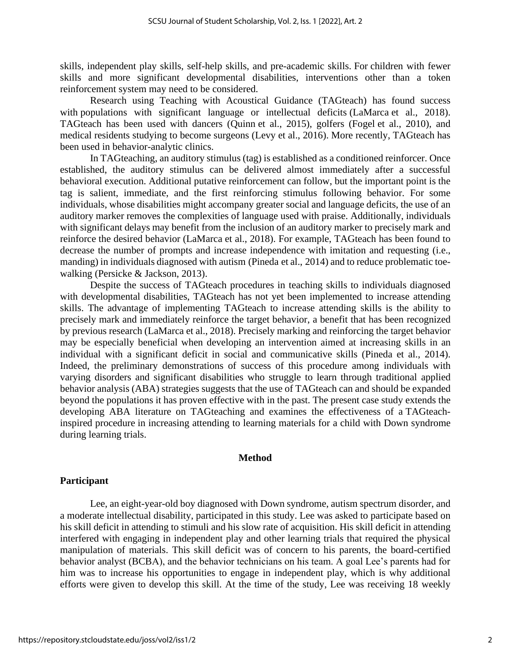skills, independent play skills, self-help skills, and pre-academic skills. For children with fewer skills and more significant developmental disabilities, interventions other than a token reinforcement system may need to be considered.

Research using Teaching with Acoustical Guidance (TAGteach) has found success with populations with significant language or intellectual deficits (LaMarca et al., 2018). TAGteach has been used with dancers (Quinn et al., 2015), golfers (Fogel et al., 2010), and medical residents studying to become surgeons (Levy et al., 2016). More recently, TAGteach has been used in behavior-analytic clinics.

In TAGteaching, an auditory stimulus (tag) is established as a conditioned reinforcer. Once established, the auditory stimulus can be delivered almost immediately after a successful behavioral execution. Additional putative reinforcement can follow, but the important point is the tag is salient, immediate, and the first reinforcing stimulus following behavior. For some individuals, whose disabilities might accompany greater social and language deficits, the use of an auditory marker removes the complexities of language used with praise. Additionally, individuals with significant delays may benefit from the inclusion of an auditory marker to precisely mark and reinforce the desired behavior (LaMarca et al., 2018). For example, TAGteach has been found to decrease the number of prompts and increase independence with imitation and requesting (i.e., manding) in individuals diagnosed with autism (Pineda et al., 2014) and to reduce problematic toewalking (Persicke & Jackson, 2013).

Despite the success of TAGteach procedures in teaching skills to individuals diagnosed with developmental disabilities, TAGteach has not yet been implemented to increase attending skills. The advantage of implementing TAGteach to increase attending skills is the ability to precisely mark and immediately reinforce the target behavior, a benefit that has been recognized by previous research (LaMarca et al., 2018). Precisely marking and reinforcing the target behavior may be especially beneficial when developing an intervention aimed at increasing skills in an individual with a significant deficit in social and communicative skills (Pineda et al., 2014). Indeed, the preliminary demonstrations of success of this procedure among individuals with varying disorders and significant disabilities who struggle to learn through traditional applied behavior analysis (ABA) strategies suggests that the use of TAGteach can and should be expanded beyond the populations it has proven effective with in the past. The present case study extends the developing ABA literature on TAGteaching and examines the effectiveness of a TAGteachinspired procedure in increasing attending to learning materials for a child with Down syndrome during learning trials.

#### **Method**

#### **Participant**

Lee, an eight-year-old boy diagnosed with Down syndrome, autism spectrum disorder, and a moderate intellectual disability, participated in this study. Lee was asked to participate based on his skill deficit in attending to stimuli and his slow rate of acquisition. His skill deficit in attending interfered with engaging in independent play and other learning trials that required the physical manipulation of materials. This skill deficit was of concern to his parents, the board-certified behavior analyst (BCBA), and the behavior technicians on his team. A goal Lee's parents had for him was to increase his opportunities to engage in independent play, which is why additional efforts were given to develop this skill. At the time of the study, Lee was receiving 18 weekly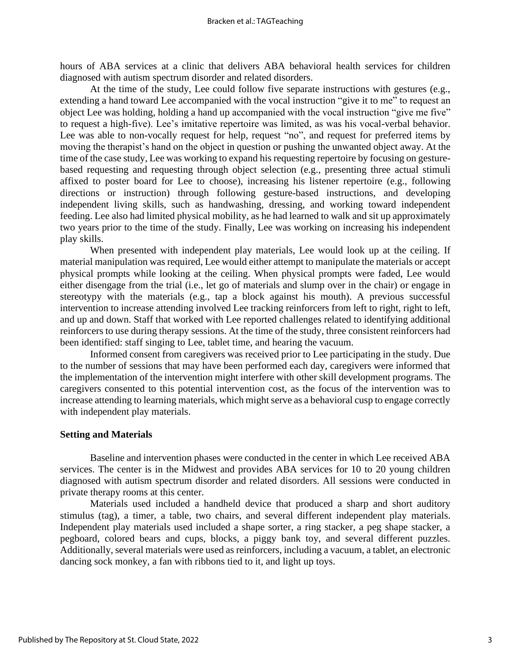hours of ABA services at a clinic that delivers ABA behavioral health services for children diagnosed with autism spectrum disorder and related disorders.

At the time of the study, Lee could follow five separate instructions with gestures (e.g., extending a hand toward Lee accompanied with the vocal instruction "give it to me" to request an object Lee was holding, holding a hand up accompanied with the vocal instruction "give me five" to request a high-five). Lee's imitative repertoire was limited, as was his vocal-verbal behavior. Lee was able to non-vocally request for help, request "no", and request for preferred items by moving the therapist's hand on the object in question or pushing the unwanted object away. At the time of the case study, Lee was working to expand his requesting repertoire by focusing on gesturebased requesting and requesting through object selection (e.g., presenting three actual stimuli affixed to poster board for Lee to choose), increasing his listener repertoire (e.g., following directions or instruction) through following gesture-based instructions, and developing independent living skills, such as handwashing, dressing, and working toward independent feeding. Lee also had limited physical mobility, as he had learned to walk and sit up approximately two years prior to the time of the study. Finally, Lee was working on increasing his independent play skills.

When presented with independent play materials, Lee would look up at the ceiling. If material manipulation was required, Lee would either attempt to manipulate the materials or accept physical prompts while looking at the ceiling. When physical prompts were faded, Lee would either disengage from the trial (i.e., let go of materials and slump over in the chair) or engage in stereotypy with the materials (e.g., tap a block against his mouth). A previous successful intervention to increase attending involved Lee tracking reinforcers from left to right, right to left, and up and down. Staff that worked with Lee reported challenges related to identifying additional reinforcers to use during therapy sessions. At the time of the study, three consistent reinforcers had been identified: staff singing to Lee, tablet time, and hearing the vacuum.

Informed consent from caregivers was received prior to Lee participating in the study. Due to the number of sessions that may have been performed each day, caregivers were informed that the implementation of the intervention might interfere with other skill development programs. The caregivers consented to this potential intervention cost, as the focus of the intervention was to increase attending to learning materials, which might serve as a behavioral cusp to engage correctly with independent play materials.

#### **Setting and Materials**

Baseline and intervention phases were conducted in the center in which Lee received ABA services. The center is in the Midwest and provides ABA services for 10 to 20 young children diagnosed with autism spectrum disorder and related disorders. All sessions were conducted in private therapy rooms at this center.

Materials used included a handheld device that produced a sharp and short auditory stimulus (tag), a timer, a table, two chairs, and several different independent play materials. Independent play materials used included a shape sorter, a ring stacker, a peg shape stacker, a pegboard, colored bears and cups, blocks, a piggy bank toy, and several different puzzles. Additionally, several materials were used as reinforcers, including a vacuum, a tablet, an electronic dancing sock monkey, a fan with ribbons tied to it, and light up toys.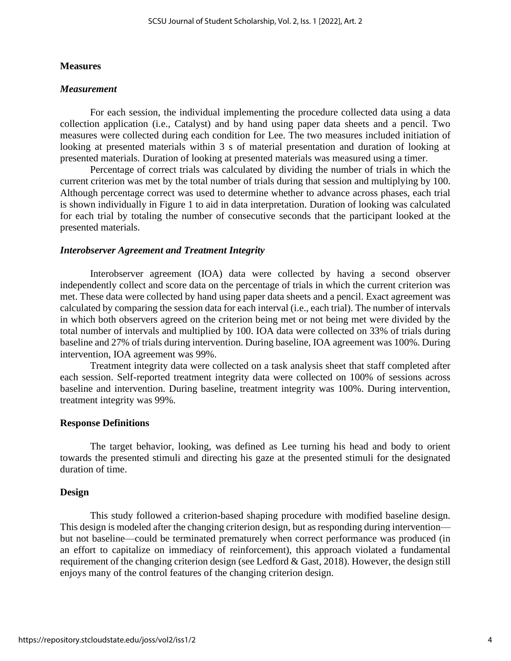#### **Measures**

#### *Measurement*

For each session, the individual implementing the procedure collected data using a data collection application (i.e., Catalyst) and by hand using paper data sheets and a pencil. Two measures were collected during each condition for Lee. The two measures included initiation of looking at presented materials within 3 s of material presentation and duration of looking at presented materials. Duration of looking at presented materials was measured using a timer.

Percentage of correct trials was calculated by dividing the number of trials in which the current criterion was met by the total number of trials during that session and multiplying by 100. Although percentage correct was used to determine whether to advance across phases, each trial is shown individually in Figure 1 to aid in data interpretation. Duration of looking was calculated for each trial by totaling the number of consecutive seconds that the participant looked at the presented materials.

#### *Interobserver Agreement and Treatment Integrity*

Interobserver agreement (IOA) data were collected by having a second observer independently collect and score data on the percentage of trials in which the current criterion was met. These data were collected by hand using paper data sheets and a pencil. Exact agreement was calculated by comparing the session data for each interval (i.e., each trial). The number of intervals in which both observers agreed on the criterion being met or not being met were divided by the total number of intervals and multiplied by 100. IOA data were collected on 33% of trials during baseline and 27% of trials during intervention. During baseline, IOA agreement was 100%. During intervention, IOA agreement was 99%.

Treatment integrity data were collected on a task analysis sheet that staff completed after each session. Self-reported treatment integrity data were collected on 100% of sessions across baseline and intervention. During baseline, treatment integrity was 100%. During intervention, treatment integrity was 99%.

#### **Response Definitions**

The target behavior, looking, was defined as Lee turning his head and body to orient towards the presented stimuli and directing his gaze at the presented stimuli for the designated duration of time.

#### **Design**

This study followed a criterion-based shaping procedure with modified baseline design. This design is modeled after the changing criterion design, but as responding during intervention but not baseline—could be terminated prematurely when correct performance was produced (in an effort to capitalize on immediacy of reinforcement), this approach violated a fundamental requirement of the changing criterion design (see Ledford & Gast, 2018). However, the design still enjoys many of the control features of the changing criterion design.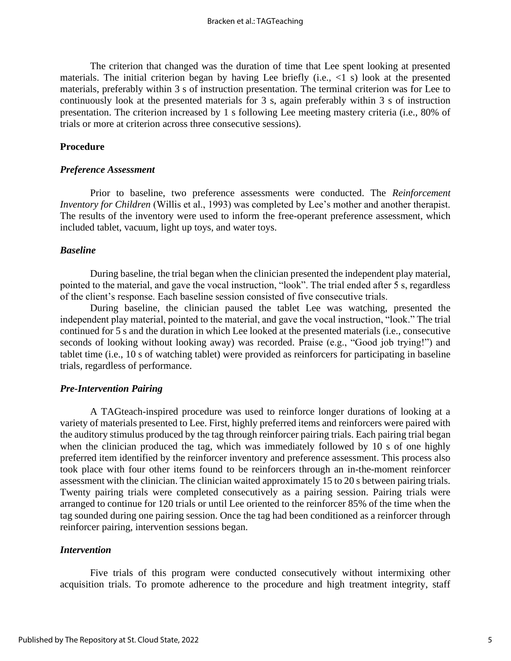The criterion that changed was the duration of time that Lee spent looking at presented materials. The initial criterion began by having Lee briefly (i.e.,  $\langle 1 \rangle$  s) look at the presented materials, preferably within 3 s of instruction presentation. The terminal criterion was for Lee to continuously look at the presented materials for 3 s, again preferably within 3 s of instruction presentation. The criterion increased by 1 s following Lee meeting mastery criteria (i.e., 80% of trials or more at criterion across three consecutive sessions).

#### **Procedure**

#### *Preference Assessment*

Prior to baseline, two preference assessments were conducted. The *Reinforcement Inventory for Children* (Willis et al., 1993) was completed by Lee's mother and another therapist. The results of the inventory were used to inform the free-operant preference assessment, which included tablet, vacuum, light up toys, and water toys.

#### *Baseline*

During baseline, the trial began when the clinician presented the independent play material, pointed to the material, and gave the vocal instruction, "look". The trial ended after 5 s, regardless of the client's response. Each baseline session consisted of five consecutive trials.

During baseline, the clinician paused the tablet Lee was watching, presented the independent play material, pointed to the material, and gave the vocal instruction, "look." The trial continued for 5 s and the duration in which Lee looked at the presented materials (i.e., consecutive seconds of looking without looking away) was recorded. Praise (e.g., "Good job trying!") and tablet time (i.e., 10 s of watching tablet) were provided as reinforcers for participating in baseline trials, regardless of performance.

#### *Pre-Intervention Pairing*

A TAGteach-inspired procedure was used to reinforce longer durations of looking at a variety of materials presented to Lee. First, highly preferred items and reinforcers were paired with the auditory stimulus produced by the tag through reinforcer pairing trials. Each pairing trial began when the clinician produced the tag, which was immediately followed by 10 s of one highly preferred item identified by the reinforcer inventory and preference assessment. This process also took place with four other items found to be reinforcers through an in-the-moment reinforcer assessment with the clinician. The clinician waited approximately 15 to 20 s between pairing trials. Twenty pairing trials were completed consecutively as a pairing session. Pairing trials were arranged to continue for 120 trials or until Lee oriented to the reinforcer 85% of the time when the tag sounded during one pairing session. Once the tag had been conditioned as a reinforcer through reinforcer pairing, intervention sessions began.

#### *Intervention*

Five trials of this program were conducted consecutively without intermixing other acquisition trials. To promote adherence to the procedure and high treatment integrity, staff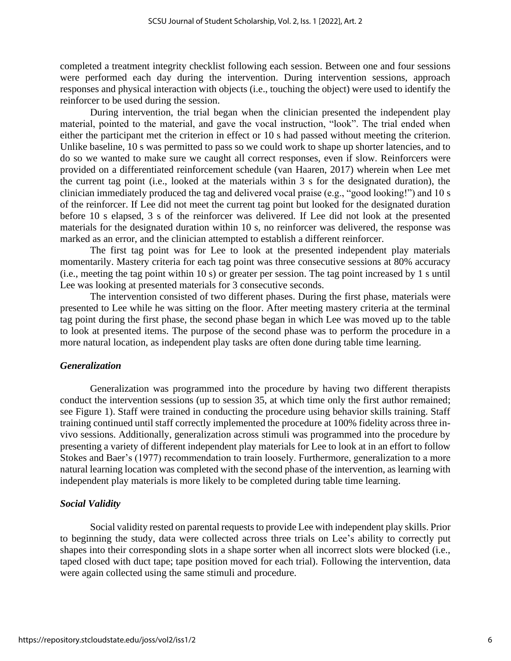completed a treatment integrity checklist following each session. Between one and four sessions were performed each day during the intervention. During intervention sessions, approach responses and physical interaction with objects (i.e., touching the object) were used to identify the reinforcer to be used during the session.

During intervention, the trial began when the clinician presented the independent play material, pointed to the material, and gave the vocal instruction, "look". The trial ended when either the participant met the criterion in effect or 10 s had passed without meeting the criterion. Unlike baseline, 10 s was permitted to pass so we could work to shape up shorter latencies, and to do so we wanted to make sure we caught all correct responses, even if slow. Reinforcers were provided on a differentiated reinforcement schedule (van Haaren, 2017) wherein when Lee met the current tag point (i.e., looked at the materials within 3 s for the designated duration), the clinician immediately produced the tag and delivered vocal praise (e.g., "good looking!") and 10 s of the reinforcer. If Lee did not meet the current tag point but looked for the designated duration before 10 s elapsed, 3 s of the reinforcer was delivered. If Lee did not look at the presented materials for the designated duration within 10 s, no reinforcer was delivered, the response was marked as an error, and the clinician attempted to establish a different reinforcer.

The first tag point was for Lee to look at the presented independent play materials momentarily. Mastery criteria for each tag point was three consecutive sessions at 80% accuracy (i.e., meeting the tag point within 10 s) or greater per session. The tag point increased by 1 s until Lee was looking at presented materials for 3 consecutive seconds.

The intervention consisted of two different phases. During the first phase, materials were presented to Lee while he was sitting on the floor. After meeting mastery criteria at the terminal tag point during the first phase, the second phase began in which Lee was moved up to the table to look at presented items. The purpose of the second phase was to perform the procedure in a more natural location, as independent play tasks are often done during table time learning.

#### *Generalization*

Generalization was programmed into the procedure by having two different therapists conduct the intervention sessions (up to session 35, at which time only the first author remained; see Figure 1). Staff were trained in conducting the procedure using behavior skills training. Staff training continued until staff correctly implemented the procedure at 100% fidelity across three invivo sessions. Additionally, generalization across stimuli was programmed into the procedure by presenting a variety of different independent play materials for Lee to look at in an effort to follow Stokes and Baer's (1977) recommendation to train loosely. Furthermore, generalization to a more natural learning location was completed with the second phase of the intervention, as learning with independent play materials is more likely to be completed during table time learning.

#### *Social Validity*

Social validity rested on parental requests to provide Lee with independent play skills. Prior to beginning the study, data were collected across three trials on Lee's ability to correctly put shapes into their corresponding slots in a shape sorter when all incorrect slots were blocked (i.e., taped closed with duct tape; tape position moved for each trial). Following the intervention, data were again collected using the same stimuli and procedure.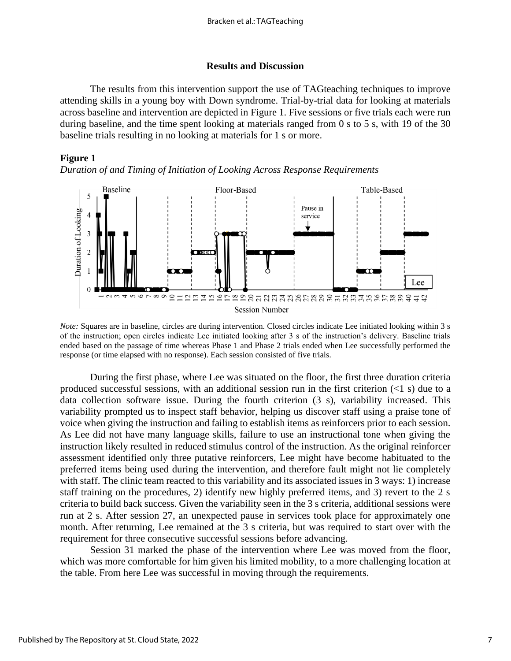#### **Results and Discussion**

The results from this intervention support the use of TAGteaching techniques to improve attending skills in a young boy with Down syndrome. Trial-by-trial data for looking at materials across baseline and intervention are depicted in Figure 1. Five sessions or five trials each were run during baseline, and the time spent looking at materials ranged from 0 s to 5 s, with 19 of the 30 baseline trials resulting in no looking at materials for 1 s or more.

#### **Figure 1**

*Duration of and Timing of Initiation of Looking Across Response Requirements*



*Note:* Squares are in baseline, circles are during intervention. Closed circles indicate Lee initiated looking within 3 s of the instruction; open circles indicate Lee initiated looking after 3 s of the instruction's delivery. Baseline trials ended based on the passage of time whereas Phase 1 and Phase 2 trials ended when Lee successfully performed the response (or time elapsed with no response). Each session consisted of five trials.

During the first phase, where Lee was situated on the floor, the first three duration criteria produced successful sessions, with an additional session run in the first criterion  $(\leq 1 \text{ s})$  due to a data collection software issue. During the fourth criterion (3 s), variability increased. This variability prompted us to inspect staff behavior, helping us discover staff using a praise tone of voice when giving the instruction and failing to establish items as reinforcers prior to each session. As Lee did not have many language skills, failure to use an instructional tone when giving the instruction likely resulted in reduced stimulus control of the instruction. As the original reinforcer assessment identified only three putative reinforcers, Lee might have become habituated to the preferred items being used during the intervention, and therefore fault might not lie completely with staff. The clinic team reacted to this variability and its associated issues in 3 ways: 1) increase staff training on the procedures, 2) identify new highly preferred items, and 3) revert to the 2 s criteria to build back success. Given the variability seen in the 3 s criteria, additional sessions were run at 2 s. After session 27, an unexpected pause in services took place for approximately one month. After returning, Lee remained at the 3 s criteria, but was required to start over with the requirement for three consecutive successful sessions before advancing.

Session 31 marked the phase of the intervention where Lee was moved from the floor, which was more comfortable for him given his limited mobility, to a more challenging location at the table. From here Lee was successful in moving through the requirements.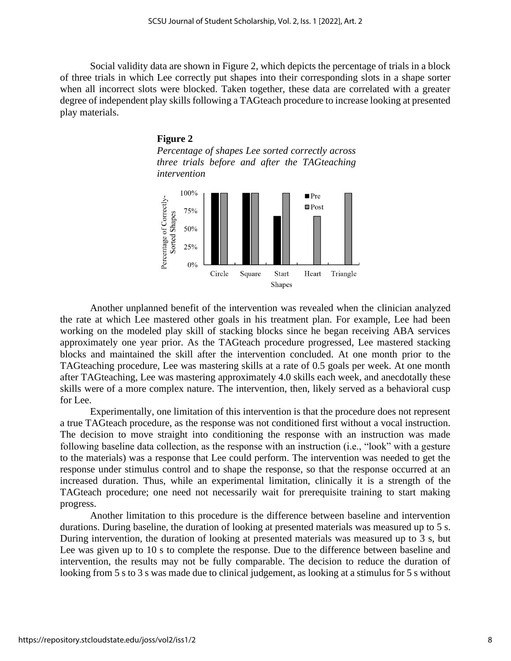Social validity data are shown in Figure 2, which depicts the percentage of trials in a block of three trials in which Lee correctly put shapes into their corresponding slots in a shape sorter when all incorrect slots were blocked. Taken together, these data are correlated with a greater degree of independent play skills following a TAGteach procedure to increase looking at presented play materials.





Another unplanned benefit of the intervention was revealed when the clinician analyzed the rate at which Lee mastered other goals in his treatment plan. For example, Lee had been working on the modeled play skill of stacking blocks since he began receiving ABA services approximately one year prior. As the TAGteach procedure progressed, Lee mastered stacking blocks and maintained the skill after the intervention concluded. At one month prior to the TAGteaching procedure, Lee was mastering skills at a rate of 0.5 goals per week. At one month after TAGteaching, Lee was mastering approximately 4.0 skills each week, and anecdotally these skills were of a more complex nature. The intervention, then, likely served as a behavioral cusp for Lee.

Experimentally, one limitation of this intervention is that the procedure does not represent a true TAGteach procedure, as the response was not conditioned first without a vocal instruction. The decision to move straight into conditioning the response with an instruction was made following baseline data collection, as the response with an instruction (i.e., "look" with a gesture to the materials) was a response that Lee could perform. The intervention was needed to get the response under stimulus control and to shape the response, so that the response occurred at an increased duration. Thus, while an experimental limitation, clinically it is a strength of the TAGteach procedure; one need not necessarily wait for prerequisite training to start making progress.

Another limitation to this procedure is the difference between baseline and intervention durations. During baseline, the duration of looking at presented materials was measured up to 5 s. During intervention, the duration of looking at presented materials was measured up to 3 s, but Lee was given up to 10 s to complete the response. Due to the difference between baseline and intervention, the results may not be fully comparable. The decision to reduce the duration of looking from 5 s to 3 s was made due to clinical judgement, as looking at a stimulus for 5 s without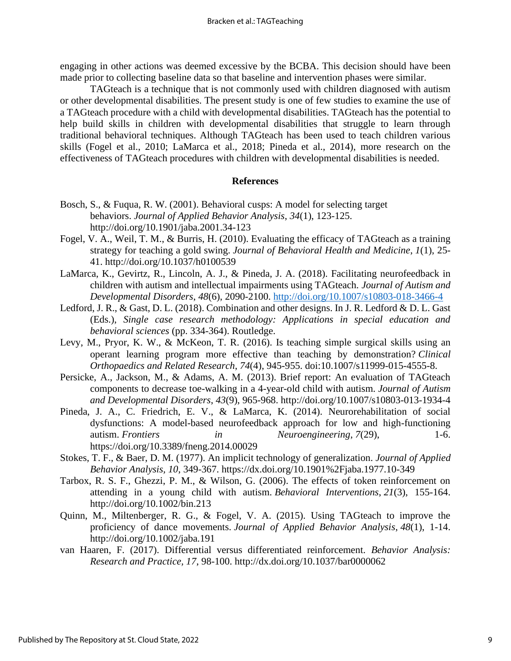engaging in other actions was deemed excessive by the BCBA. This decision should have been made prior to collecting baseline data so that baseline and intervention phases were similar.

TAGteach is a technique that is not commonly used with children diagnosed with autism or other developmental disabilities. The present study is one of few studies to examine the use of a TAGteach procedure with a child with developmental disabilities. TAGteach has the potential to help build skills in children with developmental disabilities that struggle to learn through traditional behavioral techniques. Although TAGteach has been used to teach children various skills (Fogel et al., 2010; LaMarca et al., 2018; Pineda et al., 2014), more research on the effectiveness of TAGteach procedures with children with developmental disabilities is needed.

#### **References**

- Bosch, S., & Fuqua, R. W. (2001). Behavioral cusps: A model for selecting target behaviors. *Journal of Applied Behavior Analysis*, *34*(1), 123-125. http://doi.org/10.1901/jaba.2001.34-123
- Fogel, V. A., Weil, T. M., & Burris, H. (2010). Evaluating the efficacy of TAGteach as a training strategy for teaching a gold swing. *Journal of Behavioral Health and Medicine*, *1*(1), 25- 41. http://doi.org/10.1037/h0100539
- LaMarca, K., Gevirtz, R., Lincoln, A. J., & Pineda, J. A. (2018). Facilitating neurofeedback in children with autism and intellectual impairments using TAGteach. *Journal of Autism and Developmental Disorders*, *48*(6), 2090-2100.<http://doi.org/10.1007/s10803-018-3466-4>
- Ledford, J. R., & Gast, D. L. (2018). Combination and other designs. In J. R. Ledford & D. L. Gast (Eds.), *Single case research methodology: Applications in special education and behavioral sciences* (pp. 334-364). Routledge.
- Levy, M., Pryor, K. W., & McKeon, T. R. (2016). Is teaching simple surgical skills using an operant learning program more effective than teaching by demonstration? *Clinical Orthopaedics and Related Research*, *74*(4), 945-955. doi:10.1007/s11999-015-4555-8.
- Persicke, A., Jackson, M., & Adams, A. M. (2013). Brief report: An evaluation of TAGteach components to decrease toe-walking in a 4-year-old child with autism. *Journal of Autism and Developmental Disorders*, *43*(9), 965-968. http://doi.org/10.1007/s10803-013-1934-4
- Pineda, J. A., C. Friedrich, E. V., & LaMarca, K. (2014). Neurorehabilitation of social dysfunctions: A model-based neurofeedback approach for low and high-functioning autism. *Frontiers in Neuroengineering*, *7*(29), 1-6. https://doi.org/10.3389/fneng.2014.00029
- Stokes, T. F., & Baer, D. M. (1977). An implicit technology of generalization. *Journal of Applied Behavior Analysis, 10*, 349-367. https://dx.doi.org/10.1901%2Fjaba.1977.10-349
- Tarbox, R. S. F., Ghezzi, P. M., & Wilson, G. (2006). The effects of token reinforcement on attending in a young child with autism. *Behavioral Interventions*, *21*(3), 155-164. http://doi.org/10.1002/bin.213
- Quinn, M., Miltenberger, R. G., & Fogel, V. A. (2015). Using TAGteach to improve the proficiency of dance movements. *Journal of Applied Behavior Analysis*, *48*(1), 1-14. http://doi.org/10.1002/jaba.191
- van Haaren, F. (2017). Differential versus differentiated reinforcement. *Behavior Analysis: Research and Practice, 17*, 98-100. http://dx.doi.org/10.1037/bar0000062